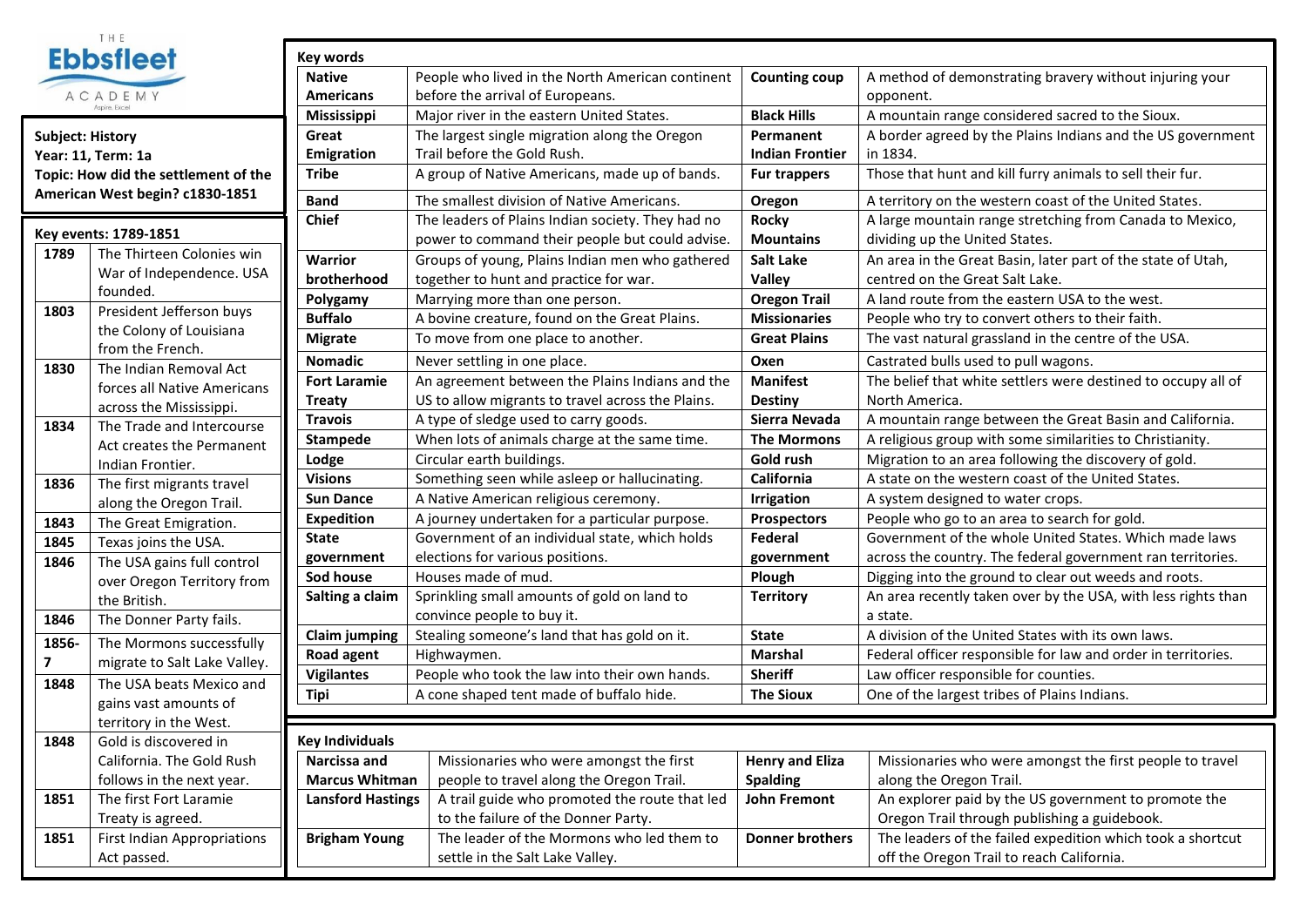

| <b>Subject: History</b>              |
|--------------------------------------|
| Year: 11. Term: 1a                   |
| Topic: How did the settlement of the |
| American West begin? c1830-1851      |

п

|       | Key events: 1789-1851              |                  |
|-------|------------------------------------|------------------|
| 1789  | The Thirteen Colonies win          | <b>Warrior</b>   |
|       | War of Independence. USA           | brother          |
|       | founded.                           | Polygan          |
| 1803  | President Jefferson buys           | <b>Buffalo</b>   |
|       | the Colony of Louisiana            | Migrate          |
|       | from the French.                   | <b>Nomad</b>     |
| 1830  | The Indian Removal Act             | <b>Fort Lar</b>  |
|       | forces all Native Americans        |                  |
|       | across the Mississippi.            | <b>Treaty</b>    |
| 1834  | The Trade and Intercourse          | <b>Travois</b>   |
|       | Act creates the Permanent          | <b>Stampe</b>    |
|       | Indian Frontier.                   | Lodge            |
| 1836  | The first migrants travel          | <b>Visions</b>   |
|       | along the Oregon Trail.            | <b>Sun Dar</b>   |
| 1843  | The Great Emigration.              | <b>Expedit</b>   |
| 1845  | Texas joins the USA.               | <b>State</b>     |
| 1846  | The USA gains full control         | governi          |
|       | over Oregon Territory from         | Sod hou          |
|       | the British.                       | Salting          |
| 1846  | The Donner Party fails.            |                  |
| 1856- | The Mormons successfully           | Claim ju         |
| 7     | migrate to Salt Lake Valley.       | Road ag          |
| 1848  | The USA beats Mexico and           | Vigilant         |
|       | gains vast amounts of              | Tipi             |
|       | territory in the West.             |                  |
| 1848  | Gold is discovered in              | <b>Key Indiv</b> |
|       | California. The Gold Rush          | <b>Narcissa</b>  |
|       | follows in the next year.          | <b>Marcus</b>    |
| 1851  | The first Fort Laramie             | Lansfor          |
|       | Treaty is agreed.                  |                  |
| 1851  | <b>First Indian Appropriations</b> | <b>Brighan</b>   |
|       | Act passed.                        |                  |
|       |                                    |                  |

| €Î                        | <b>Key words</b>         |                                                   |                        |                                                               |  |  |
|---------------------------|--------------------------|---------------------------------------------------|------------------------|---------------------------------------------------------------|--|--|
|                           | <b>Native</b>            | People who lived in the North American continent  | <b>Counting coup</b>   | A method of demonstrating bravery without injuring your       |  |  |
|                           | <b>Americans</b>         | before the arrival of Europeans.                  |                        | opponent.                                                     |  |  |
|                           | Mississippi              | Major river in the eastern United States.         | <b>Black Hills</b>     | A mountain range considered sacred to the Sioux.              |  |  |
|                           | Great                    | The largest single migration along the Oregon     | Permanent              | A border agreed by the Plains Indians and the US government   |  |  |
|                           | Emigration               | Trail before the Gold Rush.                       | <b>Indian Frontier</b> | in 1834.                                                      |  |  |
| settlement of the         | <b>Tribe</b>             | A group of Native Americans, made up of bands.    | <b>Fur trappers</b>    | Those that hunt and kill furry animals to sell their fur.     |  |  |
| in? c1830-1851            | <b>Band</b>              | The smallest division of Native Americans.        | Oregon                 | A territory on the western coast of the United States.        |  |  |
|                           | <b>Chief</b>             | The leaders of Plains Indian society. They had no | <b>Rocky</b>           | A large mountain range stretching from Canada to Mexico,      |  |  |
| 851                       |                          | power to command their people but could advise.   | <b>Mountains</b>       | dividing up the United States.                                |  |  |
| een Colonies win          | <b>Warrior</b>           | Groups of young, Plains Indian men who gathered   | <b>Salt Lake</b>       | An area in the Great Basin, later part of the state of Utah,  |  |  |
| dependence. USA           | brotherhood              | together to hunt and practice for war.            | Valley                 | centred on the Great Salt Lake.                               |  |  |
|                           | Polygamy                 | Marrying more than one person.                    | <b>Oregon Trail</b>    | A land route from the eastern USA to the west.                |  |  |
| Jefferson buys            | <b>Buffalo</b>           | A bovine creature, found on the Great Plains.     | <b>Missionaries</b>    | People who try to convert others to their faith.              |  |  |
| y of Louisiana<br>French. | <b>Migrate</b>           | To move from one place to another.                | <b>Great Plains</b>    | The vast natural grassland in the centre of the USA.          |  |  |
| n Removal Act             | <b>Nomadic</b>           | Never settling in one place.                      | Oxen                   | Castrated bulls used to pull wagons.                          |  |  |
| <b>Native Americans</b>   | <b>Fort Laramie</b>      | An agreement between the Plains Indians and the   | <b>Manifest</b>        | The belief that white settlers were destined to occupy all of |  |  |
| e Mississippi.            | <b>Treaty</b>            | US to allow migrants to travel across the Plains. | <b>Destiny</b>         | North America.                                                |  |  |
| and Intercourse           | <b>Travois</b>           | A type of sledge used to carry goods.             | Sierra Nevada          | A mountain range between the Great Basin and California.      |  |  |
| es the Permanent          | <b>Stampede</b>          | When lots of animals charge at the same time.     | <b>The Mormons</b>     | A religious group with some similarities to Christianity.     |  |  |
| ontier.                   | Lodge                    | Circular earth buildings.                         | Gold rush              | Migration to an area following the discovery of gold.         |  |  |
| nigrants travel           | <b>Visions</b>           | Something seen while asleep or hallucinating.     | California             | A state on the western coast of the United States.            |  |  |
| Oregon Trail.             | <b>Sun Dance</b>         | A Native American religious ceremony.             | <b>Irrigation</b>      | A system designed to water crops.                             |  |  |
| Emigration.               | <b>Expedition</b>        | A journey undertaken for a particular purpose.    | <b>Prospectors</b>     | People who go to an area to search for gold.                  |  |  |
| is the USA.               | <b>State</b>             | Government of an individual state, which holds    | Federal                | Government of the whole United States. Which made laws        |  |  |
| zains full control        | government               | elections for various positions.                  | government             | across the country. The federal government ran territories.   |  |  |
| on Territory from         | Sod house                | Houses made of mud.                               | Plough                 | Digging into the ground to clear out weeds and roots.         |  |  |
|                           | Salting a claim          | Sprinkling small amounts of gold on land to       | <b>Territory</b>       | An area recently taken over by the USA, with less rights than |  |  |
| er Party fails.           |                          | convince people to buy it.                        |                        | a state.                                                      |  |  |
| nons successfully         | <b>Claim jumping</b>     | Stealing someone's land that has gold on it.      | <b>State</b>           | A division of the United States with its own laws.            |  |  |
| o Salt Lake Valley.       | Road agent               | Highwaymen.                                       | <b>Marshal</b>         | Federal officer responsible for law and order in territories. |  |  |
| beats Mexico and          | <b>Vigilantes</b>        | People who took the law into their own hands.     | <b>Sheriff</b>         | Law officer responsible for counties.                         |  |  |
| : amounts of              | <b>Tipi</b>              | A cone shaped tent made of buffalo hide.          | <b>The Sioux</b>       | One of the largest tribes of Plains Indians.                  |  |  |
| n the West.               |                          |                                                   |                        |                                                               |  |  |
| scovered in               | <b>Key Individuals</b>   |                                                   |                        |                                                               |  |  |
| The Gold Rush             | Narcissa and             | Missionaries who were amongst the first           | <b>Henry and Eliza</b> | Missionaries who were amongst the first people to travel      |  |  |
| the next year.            | <b>Marcus Whitman</b>    | people to travel along the Oregon Trail.          | <b>Spalding</b>        | along the Oregon Trail.                                       |  |  |
| ort Laramie               | <b>Lansford Hastings</b> | A trail guide who promoted the route that led     | <b>John Fremont</b>    | An explorer paid by the US government to promote the          |  |  |
| agreed.                   |                          | to the failure of the Donner Party.               |                        | Oregon Trail through publishing a guidebook.                  |  |  |
| In Appropriations         | <b>Brigham Young</b>     | The leader of the Mormons who led them to         | <b>Donner brothers</b> | The leaders of the failed expedition which took a shortcut    |  |  |
| <u>d.</u>                 |                          | settle in the Salt Lake Valley.                   |                        | off the Oregon Trail to reach California.                     |  |  |
|                           |                          |                                                   |                        |                                                               |  |  |